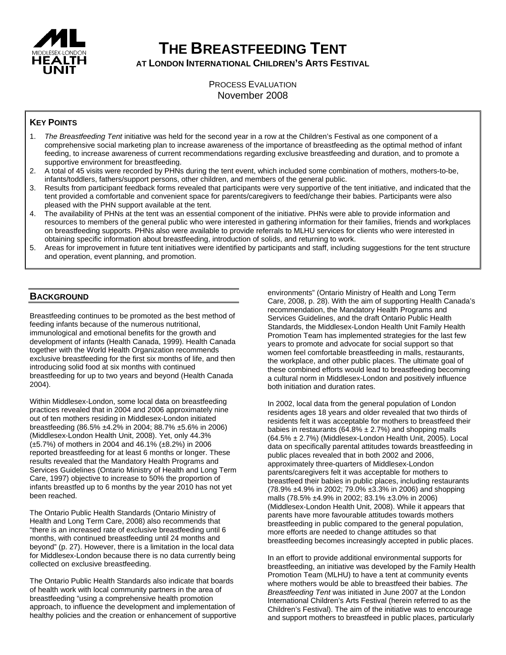

# **THE BREASTFEEDING TENT**

**AT LONDON INTERNATIONAL CHILDREN'S ARTS FESTIVAL**

PROCESS EVALUATION November 2008

# **KEY POINTS**

- 1. *The Breastfeeding Tent* initiative was held for the second year in a row at the Children's Festival as one component of a comprehensive social marketing plan to increase awareness of the importance of breastfeeding as the optimal method of infant feeding, to increase awareness of current recommendations regarding exclusive breastfeeding and duration, and to promote a supportive environment for breastfeeding.
- 2. A total of 45 visits were recorded by PHNs during the tent event, which included some combination of mothers, mothers-to-be, infants/toddlers, fathers/support persons, other children, and members of the general public.
- 3. Results from participant feedback forms revealed that participants were very supportive of the tent initiative, and indicated that the tent provided a comfortable and convenient space for parents/caregivers to feed/change their babies. Participants were also pleased with the PHN support available at the tent.
- 4. The availability of PHNs at the tent was an essential component of the initiative. PHNs were able to provide information and resources to members of the general public who were interested in gathering information for their families, friends and workplaces on breastfeeding supports. PHNs also were available to provide referrals to MLHU services for clients who were interested in obtaining specific information about breastfeeding, introduction of solids, and returning to work.
- 5. Areas for improvement in future tent initiatives were identified by participants and staff, including suggestions for the tent structure and operation, event planning, and promotion.

# **BACKGROUND**

Breastfeeding continues to be promoted as the best method of feeding infants because of the numerous nutritional, immunological and emotional benefits for the growth and development of infants (Health Canada, 1999). Health Canada together with the World Health Organization recommends exclusive breastfeeding for the first six months of life, and then introducing solid food at six months with continued breastfeeding for up to two years and beyond (Health Canada 2004).

Within Middlesex-London, some local data on breastfeeding practices revealed that in 2004 and 2006 approximately nine out of ten mothers residing in Middlesex-London initiated breastfeeding (86.5% ±4.2% in 2004; 88.7% ±5.6% in 2006) (Middlesex-London Health Unit, 2008). Yet, only 44.3% (±5.7%) of mothers in 2004 and 46.1% (±8.2%) in 2006 reported breastfeeding for at least 6 months or longer. These results revealed that the Mandatory Health Programs and Services Guidelines (Ontario Ministry of Health and Long Term Care, 1997) objective to increase to 50% the proportion of infants breastfed up to 6 months by the year 2010 has not yet been reached.

The Ontario Public Health Standards (Ontario Ministry of Health and Long Term Care, 2008) also recommends that "there is an increased rate of exclusive breastfeeding until 6 months, with continued breastfeeding until 24 months and beyond" (p. 27). However, there is a limitation in the local data for Middlesex-London because there is no data currently being collected on exclusive breastfeeding.

The Ontario Public Health Standards also indicate that boards of health work with local community partners in the area of breastfeeding "using a comprehensive health promotion approach, to influence the development and implementation of healthy policies and the creation or enhancement of supportive environments" (Ontario Ministry of Health and Long Term Care, 2008, p. 28). With the aim of supporting Health Canada's recommendation, the Mandatory Health Programs and Services Guidelines, and the draft Ontario Public Health Standards, the Middlesex-London Health Unit Family Health Promotion Team has implemented strategies for the last few years to promote and advocate for social support so that women feel comfortable breastfeeding in malls, restaurants, the workplace, and other public places. The ultimate goal of these combined efforts would lead to breastfeeding becoming a cultural norm in Middlesex-London and positively influence both initiation and duration rates.

In 2002, local data from the general population of London residents ages 18 years and older revealed that two thirds of residents felt it was acceptable for mothers to breastfeed their babies in restaurants (64.8%  $\pm$  2.7%) and shopping malls  $(64.5\% \pm 2.7\%)$  (Middlesex-London Health Unit, 2005). Local data on specifically parental attitudes towards breastfeeding in public places revealed that in both 2002 and 2006, approximately three-quarters of Middlesex-London parents/caregivers felt it was acceptable for mothers to breastfeed their babies in public places, including restaurants (78.9% ±4.9% in 2002; 79.0% ±3.3% in 2006) and shopping malls (78.5% ±4.9% in 2002; 83.1% ±3.0% in 2006) (Middlesex-London Health Unit, 2008). While it appears that parents have more favourable attitudes towards mothers breastfeeding in public compared to the general population, more efforts are needed to change attitudes so that breastfeeding becomes increasingly accepted in public places.

In an effort to provide additional environmental supports for breastfeeding, an initiative was developed by the Family Health Promotion Team (MLHU) to have a tent at community events where mothers would be able to breastfeed their babies. *The Breastfeeding Tent* was initiated in June 2007 at the London International Children's Arts Festival (herein referred to as the Children's Festival). The aim of the initiative was to encourage and support mothers to breastfeed in public places, particularly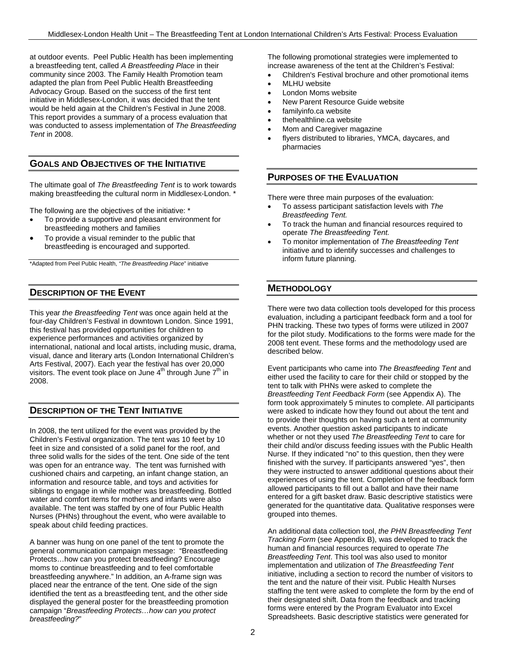at outdoor events. Peel Public Health has been implementing a breastfeeding tent, called *A Breastfeeding Place* in their community since 2003. The Family Health Promotion team adapted the plan from Peel Public Health Breastfeeding Advocacy Group. Based on the success of the first tent initiative in Middlesex-London, it was decided that the tent would be held again at the Children's Festival in June 2008. This report provides a summary of a process evaluation that was conducted to assess implementation of *The Breastfeeding Tent* in 2008.

# **GOALS AND OBJECTIVES OF THE INITIATIVE**

The ultimate goal of *The Breastfeeding Tent* is to work towards making breastfeeding the cultural norm in Middlesex-London. \*

The following are the objectives of the initiative: \*

- To provide a supportive and pleasant environment for breastfeeding mothers and families
- To provide a visual reminder to the public that breastfeeding is encouraged and supported.

\*Adapted from Peel Public Health, *"The Breastfeeding Place*" initiative

# **DESCRIPTION OF THE EVENT**

This year *the Breastfeeding Tent* was once again held at the four-day Children's Festival in downtown London. Since 1991, this festival has provided opportunities for children to experience performances and activities organized by international, national and local artists, including music, drama, visual, dance and literary arts (London International Children's Arts Festival, 2007). Each year the festival has over 20,000 visitors. The event took place on June  $4<sup>th</sup>$  through June  $7<sup>th</sup>$  in 2008.

# **DESCRIPTION OF THE TENT INITIATIVE**

In 2008, the tent utilized for the event was provided by the Children's Festival organization. The tent was 10 feet by 10 feet in size and consisted of a solid panel for the roof, and three solid walls for the sides of the tent. One side of the tent was open for an entrance way. The tent was furnished with cushioned chairs and carpeting, an infant change station, an information and resource table, and toys and activities for siblings to engage in while mother was breastfeeding. Bottled water and comfort items for mothers and infants were also available. The tent was staffed by one of four Public Health Nurses (PHNs) throughout the event, who were available to speak about child feeding practices.

A banner was hung on one panel of the tent to promote the general communication campaign message: "Breastfeeding Protects…how can you protect breastfeeding? Encourage moms to continue breastfeeding and to feel comfortable breastfeeding anywhere." In addition, an A-frame sign was placed near the entrance of the tent. One side of the sign identified the tent as a breastfeeding tent, and the other side displayed the general poster for the breastfeeding promotion campaign "*Breastfeeding Protects…how can you protect breastfeeding?*"

The following promotional strategies were implemented to increase awareness of the tent at the Children's Festival:

- Children's Festival brochure and other promotional items
- **MLHU** website
- London Moms website
- New Parent Resource Guide website
- familyinfo.ca website
- thehealthline.ca website
- Mom and Caregiver magazine
- flyers distributed to libraries, YMCA, daycares, and pharmacies

# **PURPOSES OF THE EVALUATION**

There were three main purposes of the evaluation:

- To assess participant satisfaction levels with *The Breastfeeding Tent.*
- To track the human and financial resources required to operate *The Breastfeeding Tent.*
- To monitor implementation of *The Breastfeeding Tent* initiative and to identify successes and challenges to inform future planning.

# **METHODOLOGY**

There were two data collection tools developed for this process evaluation, including a participant feedback form and a tool for PHN tracking. These two types of forms were utilized in 2007 for the pilot study. Modifications to the forms were made for the 2008 tent event. These forms and the methodology used are described below.

Event participants who came into *The Breastfeeding Tent* and either used the facility to care for their child or stopped by the tent to talk with PHNs were asked to complete the *Breastfeeding Tent Feedback Form* (see Appendix A). The form took approximately 5 minutes to complete. All participants were asked to indicate how they found out about the tent and to provide their thoughts on having such a tent at community events. Another question asked participants to indicate whether or not they used *The Breastfeeding Tent* to care for their child and/or discuss feeding issues with the Public Health Nurse. If they indicated "no" to this question, then they were finished with the survey. If participants answered "yes", then they were instructed to answer additional questions about their experiences of using the tent. Completion of the feedback form allowed participants to fill out a ballot and have their name entered for a gift basket draw. Basic descriptive statistics were generated for the quantitative data. Qualitative responses were grouped into themes.

An additional data collection tool, *the PHN Breastfeeding Tent Tracking Form* (see Appendix B), was developed to track the human and financial resources required to operate *The Breastfeeding Tent*. This tool was also used to monitor implementation and utilization of *The Breastfeeding Tent* initiative, including a section to record the number of visitors to the tent and the nature of their visit. Public Health Nurses staffing the tent were asked to complete the form by the end of their designated shift. Data from the feedback and tracking forms were entered by the Program Evaluator into Excel Spreadsheets. Basic descriptive statistics were generated for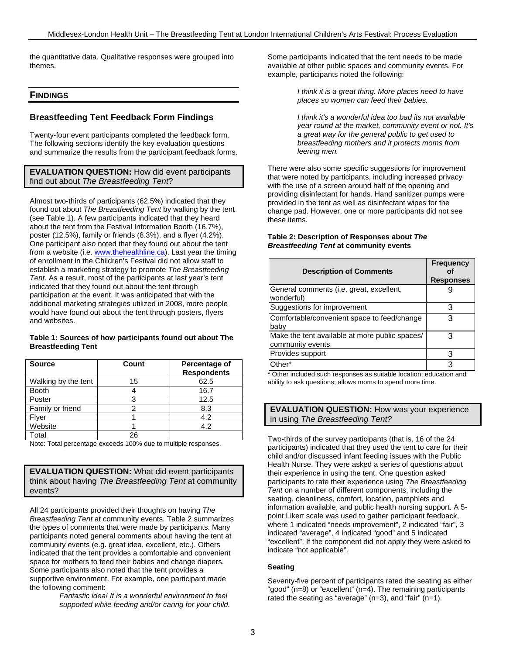the quantitative data. Qualitative responses were grouped into themes.

# **FINDINGS**

# **Breastfeeding Tent Feedback Form Findings**

Twenty-four event participants completed the feedback form. The following sections identify the key evaluation questions and summarize the results from the participant feedback forms.

**EVALUATION QUESTION:** How did event participants find out about *The Breastfeeding Tent*?

Almost two-thirds of participants (62.5%) indicated that they found out about *The Breastfeeding Tent* by walking by the tent (see Table 1). A few participants indicated that they heard about the tent from the Festival Information Booth (16.7%), poster (12.5%), family or friends (8.3%), and a flyer (4.2%). One participant also noted that they found out about the tent from a website (i.e. www.thehealthline.ca). Last year the timing of enrollment in the Children's Festival did not allow staff to establish a marketing strategy to promote *The Breastfeeding Tent*. As a result, most of the participants at last year's tent indicated that they found out about the tent through participation at the event. It was anticipated that with the additional marketing strategies utilized in 2008, more people would have found out about the tent through posters, flyers and websites.

#### **Table 1: Sources of how participants found out about The Breastfeeding Tent**

| <b>Source</b>       | Count | Percentage of<br><b>Respondents</b> |
|---------------------|-------|-------------------------------------|
| Walking by the tent | 15    | 62.5                                |
| <b>Booth</b>        |       | 16.7                                |
| Poster              |       | 12.5                                |
| Family or friend    |       | 8.3                                 |
| Flyer               |       | 4.2                                 |
| Website             |       | 4.2                                 |
| Total               | ንፍ    |                                     |

Note: Total percentage exceeds 100% due to multiple responses.

**EVALUATION QUESTION:** What did event participants think about having *The Breastfeeding Tent* at community events?

All 24 participants provided their thoughts on having *The Breastfeeding Tent* at community events. Table 2 summarizes the types of comments that were made by participants. Many participants noted general comments about having the tent at community events (e.g. great idea, excellent, etc.). Others indicated that the tent provides a comfortable and convenient space for mothers to feed their babies and change diapers. Some participants also noted that the tent provides a supportive environment. For example, one participant made the following comment:

*Fantastic idea! It is a wonderful environment to feel supported while feeding and/or caring for your child.* Some participants indicated that the tent needs to be made available at other public spaces and community events. For example, participants noted the following:

> *I think it is a great thing. More places need to have places so women can feed their babies.*

*I think it's a wonderful idea too bad its not available year round at the market, community event or not. It's a great way for the general public to get used to breastfeeding mothers and it protects moms from leering men.*

There were also some specific suggestions for improvement that were noted by participants, including increased privacy with the use of a screen around half of the opening and providing disinfectant for hands. Hand sanitizer pumps were provided in the tent as well as disinfectant wipes for the change pad. However, one or more participants did not see these items.

#### **Table 2: Description of Responses about** *The Breastfeeding Tent* **at community events**

| <b>Description of Comments</b>                                     | <b>Frequency</b><br><b>Responses</b> |
|--------------------------------------------------------------------|--------------------------------------|
| General comments (i.e. great, excellent,<br>wonderful)             |                                      |
| Suggestions for improvement                                        | 3                                    |
| Comfortable/convenient space to feed/change<br>baby                | 3                                    |
| Make the tent available at more public spaces/<br>community events | 3                                    |
| Provides support                                                   | 3                                    |
| Other*                                                             | ว                                    |

\* Other included such responses as suitable location; education and ability to ask questions; allows moms to spend more time.

# **EVALUATION QUESTION:** How was your experience in using *The Breastfeeding Tent?*

Two-thirds of the survey participants (that is, 16 of the 24 participants) indicated that they used the tent to care for their child and/or discussed infant feeding issues with the Public Health Nurse. They were asked a series of questions about their experience in using the tent. One question asked participants to rate their experience using *The Breastfeeding Tent* on a number of different components, including the seating, cleanliness, comfort, location, pamphlets and information available, and public health nursing support. A 5 point Likert scale was used to gather participant feedback, where 1 indicated "needs improvement", 2 indicated "fair", 3 indicated "average", 4 indicated "good" and 5 indicated "excellent". If the component did not apply they were asked to indicate "not applicable".

#### **Seating**

Seventy-five percent of participants rated the seating as either "good" (n=8) or "excellent" (n=4). The remaining participants rated the seating as "average" (n=3), and "fair" (n=1).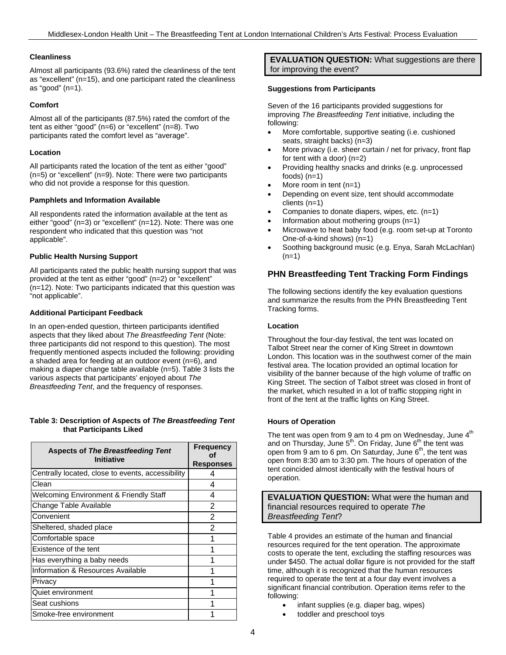#### **Cleanliness**

Almost all participants (93.6%) rated the cleanliness of the tent as "excellent" (n=15), and one participant rated the cleanliness as "good" (n=1).

#### **Comfort**

Almost all of the participants (87.5%) rated the comfort of the tent as either "good" (n=6) or "excellent" (n=8). Two participants rated the comfort level as "average".

#### **Location**

All participants rated the location of the tent as either "good" (n=5) or "excellent" (n=9). Note: There were two participants who did not provide a response for this question.

#### **Pamphlets and Information Available**

All respondents rated the information available at the tent as either "good" (n=3) or "excellent" (n=12). Note: There was one respondent who indicated that this question was "not applicable".

#### **Public Health Nursing Support**

All participants rated the public health nursing support that was provided at the tent as either "good" (n=2) or "excellent" (n=12). Note: Two participants indicated that this question was "not applicable".

#### **Additional Participant Feedback**

In an open-ended question, thirteen participants identified aspects that they liked about *The Breastfeeding Tent* (Note: three participants did not respond to this question). The most frequently mentioned aspects included the following: providing a shaded area for feeding at an outdoor event (n=6), and making a diaper change table available (n=5). Table 3 lists the various aspects that participants' enjoyed about *The Breastfeeding Tent*, and the frequency of responses.

#### **Table 3: Description of Aspects of** *The Breastfeeding Tent* **that Participants Liked**

| <b>Aspects of The Breastfeeding Tent</b><br><b>Initiative</b> | <b>Frequency</b><br>nf<br><b>Responses</b> |
|---------------------------------------------------------------|--------------------------------------------|
| Centrally located, close to events, accessibility             | Δ                                          |
| Clean                                                         | 4                                          |
| <b>Welcoming Environment &amp; Friendly Staff</b>             | 4                                          |
| Change Table Available                                        | 2                                          |
| Convenient                                                    | $\overline{2}$                             |
| Sheltered, shaded place                                       | $\mathcal{P}$                              |
| Comfortable space                                             | 1                                          |
| Existence of the tent                                         |                                            |
| Has everything a baby needs                                   |                                            |
| Information & Resources Available                             |                                            |
| Privacy                                                       |                                            |
| Quiet environment                                             |                                            |
| Seat cushions                                                 |                                            |
| Smoke-free environment                                        |                                            |

**EVALUATION QUESTION:** What suggestions are there for improving the event?

#### **Suggestions from Participants**

Seven of the 16 participants provided suggestions for improving *The Breastfeeding Tent* initiative, including the following:

- More comfortable, supportive seating (i.e. cushioned seats, straight backs) (n=3)
- More privacy (i.e. sheer curtain / net for privacy, front flap for tent with a door) (n=2)
- Providing healthy snacks and drinks (e.g. unprocessed foods) (n=1)
- More room in tent  $(n=1)$
- Depending on event size, tent should accommodate clients (n=1)
- Companies to donate diapers, wipes, etc. (n=1)
- Information about mothering groups  $(n=1)$
- Microwave to heat baby food (e.g. room set-up at Toronto One-of-a-kind shows) (n=1)
- Soothing background music (e.g. Enya, Sarah McLachlan)  $(n=1)$

## **PHN Breastfeeding Tent Tracking Form Findings**

The following sections identify the key evaluation questions and summarize the results from the PHN Breastfeeding Tent Tracking forms.

#### **Location**

Throughout the four-day festival, the tent was located on Talbot Street near the corner of King Street in downtown London. This location was in the southwest corner of the main festival area. The location provided an optimal location for visibility of the banner because of the high volume of traffic on King Street. The section of Talbot street was closed in front of the market, which resulted in a lot of traffic stopping right in front of the tent at the traffic lights on King Street.

#### **Hours of Operation**

The tent was open from 9 am to 4 pm on Wednesday, June  $4<sup>th</sup>$ and on Thursday, June  $5<sup>th</sup>$ . On Friday, June  $6<sup>th</sup>$  the tent was open from 9 am to 6 pm. On Saturday, June  $6<sup>th</sup>$ , the tent was open from 8:30 am to 3:30 pm. The hours of operation of the tent coincided almost identically with the festival hours of operation.

**EVALUATION QUESTION:** What were the human and financial resources required to operate *The Breastfeeding Tent*?

Table 4 provides an estimate of the human and financial resources required for the tent operation. The approximate costs to operate the tent, excluding the staffing resources was under \$450. The actual dollar figure is not provided for the staff time, although it is recognized that the human resources required to operate the tent at a four day event involves a significant financial contribution. Operation items refer to the following:

- infant supplies (e.g. diaper bag, wipes)
- toddler and preschool toys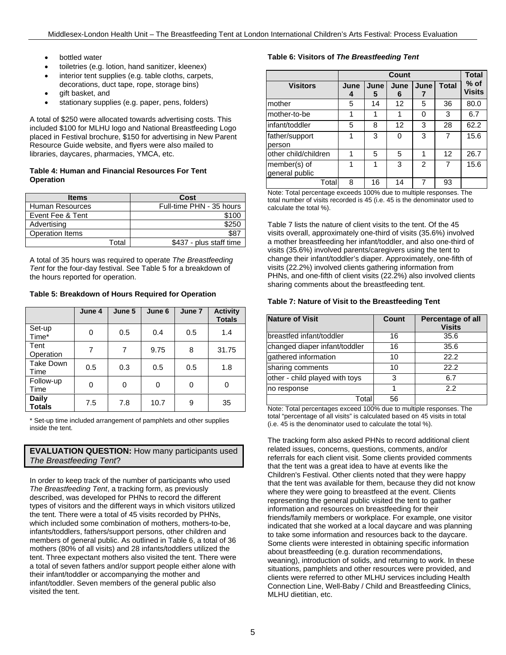- bottled water
- toiletries (e.g. lotion, hand sanitizer, kleenex)
- interior tent supplies (e.g. table cloths, carpets,
- decorations, duct tape, rope, storage bins) qift basket, and
- stationary supplies (e.g. paper, pens, folders)

A total of \$250 were allocated towards advertising costs. This included \$100 for MLHU logo and National Breastfeeding Logo placed in Festival brochure, \$150 for advertising in New Parent Resource Guide website, and flyers were also mailed to libraries, daycares, pharmacies, YMCA, etc.

#### **Table 4: Human and Financial Resources For Tent Operation**

| <b>Items</b>           | Cost                     |
|------------------------|--------------------------|
| Human Resources        | Full-time PHN - 35 hours |
| Event Fee & Tent       | \$100                    |
| Advertising            | \$250                    |
| <b>Operation Items</b> | \$87                     |
| Total                  | \$437 - plus staff time  |

A total of 35 hours was required to operate *The Breastfeeding Tent* for the four-day festival. See Table 5 for a breakdown of the hours reported for operation.

**Table 5: Breakdown of Hours Required for Operation**

|                               | June 4 | June 5 | June 6 | June 7 | <b>Activity</b><br><b>Totals</b> |
|-------------------------------|--------|--------|--------|--------|----------------------------------|
| Set-up<br>Time*               | 0      | 0.5    | 0.4    | 0.5    | 1.4                              |
| Tent<br>Operation             | 7      | 7      | 9.75   | 8      | 31.75                            |
| <b>Take Down</b><br>Time      | 0.5    | 0.3    | 0.5    | 0.5    | 1.8                              |
| Follow-up<br>Time             | 0      | 0      | 0      | 0      | 0                                |
| <b>Daily</b><br><b>Totals</b> | 7.5    | 7.8    | 10.7   | 9      | 35                               |

\* Set-up time included arrangement of pamphlets and other supplies inside the tent.

# **EVALUATION QUESTION:** How many participants used *The Breastfeeding Tent*?

In order to keep track of the number of participants who used *The Breastfeeding Tent*, a tracking form, as previously described, was developed for PHNs to record the different types of visitors and the different ways in which visitors utilized the tent. There were a total of 45 visits recorded by PHNs, which included some combination of mothers, mothers-to-be, infants/toddlers, fathers/support persons, other children and members of general public. As outlined in Table 6, a total of 36 mothers (80% of all visits) and 28 infants/toddlers utilized the tent. Three expectant mothers also visited the tent. There were a total of seven fathers and/or support people either alone with their infant/toddler or accompanying the mother and infant/toddler. Seven members of the general public also visited the tent.

# **Table 6: Visitors of** *The Breastfeeding Tent*

|                                |           | <b>Total</b> |           |               |              |                         |
|--------------------------------|-----------|--------------|-----------|---------------|--------------|-------------------------|
| <b>Visitors</b>                | June<br>4 | June<br>5    | June<br>6 | June          | <b>Total</b> | $%$ of<br><b>Visits</b> |
| mother                         | 5         | 14           | 12        | 5             | 36           | 80.0                    |
| mother-to-be                   | 1         | 1            |           | O             | 3            | 6.7                     |
| infant/toddler                 | 5         | 8            | 12        | 3             | 28           | 62.2                    |
| father/support<br>person       |           | 3            | O         | 3             |              | 15.6                    |
| other child/children           | 1         | 5            | 5         |               | 12           | 26.7                    |
| member(s) of<br>general public |           | 1            | 3         | $\mathcal{P}$ |              | 15.6                    |
| Total                          | 8         | 16           | 14        |               | 93           |                         |

Note: Total percentage exceeds 100% due to multiple responses. The total number of visits recorded is 45 (i.e. 45 is the denominator used to calculate the total %).

Table 7 lists the nature of client visits to the tent. Of the 45 visits overall, approximately one-third of visits (35.6%) involved a mother breastfeeding her infant/toddler, and also one-third of visits (35.6%) involved parents/caregivers using the tent to change their infant/toddler's diaper. Approximately, one-fifth of visits (22.2%) involved clients gathering information from PHNs, and one-fifth of client visits (22.2%) also involved clients sharing comments about the breastfeeding tent.

#### **Table 7: Nature of Visit to the Breastfeeding Tent**

| <b>Nature of Visit</b>         | Count | Percentage of all<br><b>Visits</b> |
|--------------------------------|-------|------------------------------------|
| breastfed infant/toddler       | 16    | 35.6                               |
| changed diaper infant/toddler  | 16    | 35.6                               |
| gathered information           | 10    | 22.2                               |
| sharing comments               | 10    | 22.2                               |
| other - child played with toys | 3     | 6.7                                |
| no response                    |       | 2.2                                |
| Total                          | 56    |                                    |

Note: Total percentages exceed 100% due to multiple responses. The total "percentage of all visits" is calculated based on 45 visits in total (i.e. 45 is the denominator used to calculate the total %).

The tracking form also asked PHNs to record additional client related issues, concerns, questions, comments, and/or referrals for each client visit. Some clients provided comments that the tent was a great idea to have at events like the Children's Festival. Other clients noted that they were happy that the tent was available for them, because they did not know where they were going to breastfeed at the event. Clients representing the general public visited the tent to gather information and resources on breastfeeding for their friends/family members or workplace. For example, one visitor indicated that she worked at a local daycare and was planning to take some information and resources back to the daycare. Some clients were interested in obtaining specific information about breastfeeding (e.g. duration recommendations, weaning), introduction of solids, and returning to work. In these situations, pamphlets and other resources were provided, and clients were referred to other MLHU services including Health Connection Line, Well-Baby / Child and Breastfeeding Clinics, MLHU dietitian, etc.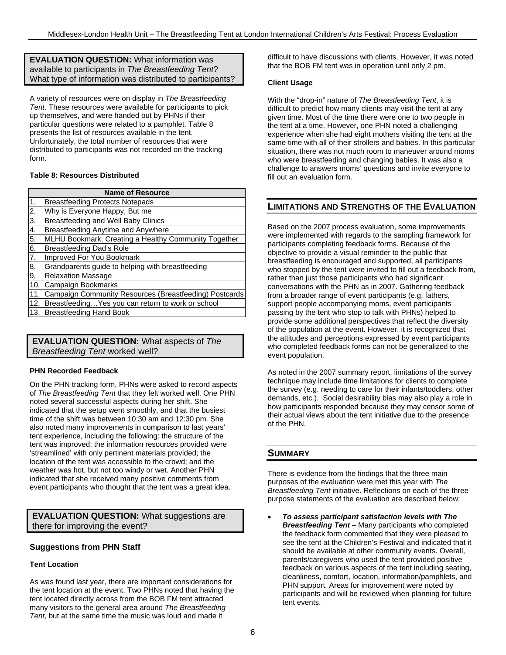**EVALUATION QUESTION:** What information was available to participants in *The Breastfeeding Tent*? What type of information was distributed to participants?

A variety of resources were on display in *The Breastfeeding Tent*. These resources were available for participants to pick up themselves, and were handed out by PHNs if their particular questions were related to a pamphlet. Table 8 presents the list of resources available in the tent. Unfortunately, the total number of resources that were distributed to participants was not recorded on the tracking form.

#### **Table 8: Resources Distributed**

|     | <b>Name of Resource</b>                                |
|-----|--------------------------------------------------------|
| 1.  | <b>Breastfeeding Protects Notepads</b>                 |
| 2.  | Why is Everyone Happy, But me                          |
| 3.  | Breastfeeding and Well Baby Clinics                    |
| 4.  | Breastfeeding Anytime and Anywhere                     |
| 5.  | MLHU Bookmark. Creating a Healthy Community Together   |
| 6.  | Breastfeeding Dad's Role                               |
| 7.  | Improved For You Bookmark                              |
| 8.  | Grandparents guide to helping with breastfeeding       |
| 9.  | <b>Relaxation Massage</b>                              |
|     | 10. Campaign Bookmarks                                 |
| 11. | Campaign Community Resources (Breastfeeding) Postcards |
|     | 12. Breastfeeding Yes you can return to work or school |
|     | 13. Breastfeeding Hand Book                            |
|     |                                                        |

# **EVALUATION QUESTION:** What aspects of *The Breastfeeding Tent* worked well?

#### **PHN Recorded Feedback**

On the PHN tracking form, PHNs were asked to record aspects of *The Breastfeeding Tent* that they felt worked well. One PHN noted several successful aspects during her shift. She indicated that the setup went smoothly, and that the busiest time of the shift was between 10:30 am and 12:30 pm. She also noted many improvements in comparison to last years' tent experience, including the following: the structure of the tent was improved; the information resources provided were 'streamlined' with only pertinent materials provided; the location of the tent was accessible to the crowd; and the weather was hot, but not too windy or wet. Another PHN indicated that she received many positive comments from event participants who thought that the tent was a great idea.

# **EVALUATION QUESTION:** What suggestions are there for improving the event?

#### **Suggestions from PHN Staff**

#### **Tent Location**

As was found last year, there are important considerations for the tent location at the event. Two PHNs noted that having the tent located directly across from the BOB FM tent attracted many visitors to the general area around *The Breastfeeding Tent*, but at the same time the music was loud and made it

difficult to have discussions with clients. However, it was noted that the BOB FM tent was in operation until only 2 pm.

#### **Client Usage**

With the "drop-in" nature of *The Breastfeeding Tent*, it is difficult to predict how many clients may visit the tent at any given time. Most of the time there were one to two people in the tent at a time. However, one PHN noted a challenging experience when she had eight mothers visiting the tent at the same time with all of their strollers and babies. In this particular situation, there was not much room to maneuver around moms who were breastfeeding and changing babies. It was also a challenge to answers moms' questions and invite everyone to fill out an evaluation form.

# **LIMITATIONS AND STRENGTHS OF THE EVALUATION**

Based on the 2007 process evaluation, some improvements were implemented with regards to the sampling framework for participants completing feedback forms. Because of the objective to provide a visual reminder to the public that breastfeeding is encouraged and supported, all participants who stopped by the tent were invited to fill out a feedback from, rather than just those participants who had significant conversations with the PHN as in 2007. Gathering feedback from a broader range of event participants (e.g. fathers, support people accompanying moms, event participants passing by the tent who stop to talk with PHNs) helped to provide some additional perspectives that reflect the diversity of the population at the event. However, it is recognized that the attitudes and perceptions expressed by event participants who completed feedback forms can not be generalized to the event population.

As noted in the 2007 summary report, limitations of the survey technique may include time limitations for clients to complete the survey (e.g. needing to care for their infants/toddlers, other demands, etc.). Social desirability bias may also play a role in how participants responded because they may censor some of their actual views about the tent initiative due to the presence of the PHN.

## **SUMMARY**

There is evidence from the findings that the three main purposes of the evaluation were met this year with *The Breastfeeding Tent* initiative. Reflections on each of the three purpose statements of the evaluation are described below:

• *To assess participant satisfaction levels with The Breastfeeding Tent* – Many participants who completed the feedback form commented that they were pleased to see the tent at the Children's Festival and indicated that it should be available at other community events. Overall, parents/caregivers who used the tent provided positive feedback on various aspects of the tent including seating, cleanliness, comfort, location, information/pamphlets, and PHN support. Areas for improvement were noted by participants and will be reviewed when planning for future tent events.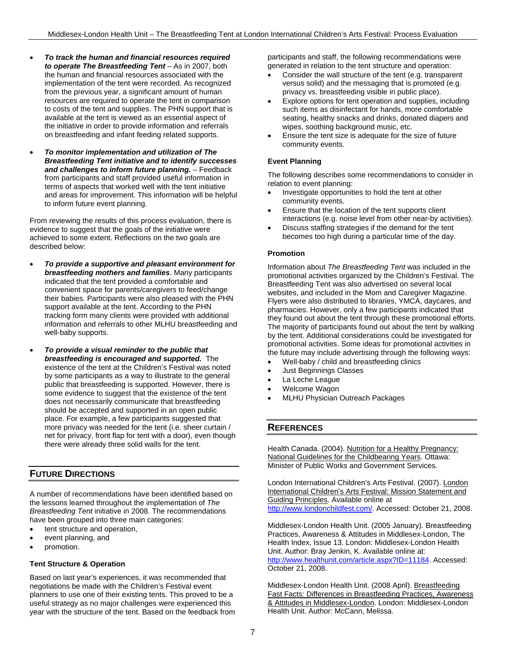- *To track the human and financial resources required to operate The Breastfeeding Tent* – As in 2007, both the human and financial resources associated with the implementation of the tent were recorded. As recognized from the previous year, a significant amount of human resources are required to operate the tent in comparison to costs of the tent and supplies. The PHN support that is available at the tent is viewed as an essential aspect of the initiative in order to provide information and referrals on breastfeeding and infant feeding related supports.
- *To monitor implementation and utilization of The Breastfeeding Tent initiative and to identify successes and challenges to inform future planning.* – Feedback from participants and staff provided useful information in terms of aspects that worked well with the tent initiative and areas for improvement. This information will be helpful to inform future event planning.

From reviewing the results of this process evaluation, there is evidence to suggest that the goals of the initiative were achieved to some extent. Reflections on the two goals are described below:

- *To provide a supportive and pleasant environment for breastfeeding mothers and families*. Many participants indicated that the tent provided a comfortable and convenient space for parents/caregivers to feed/change their babies. Participants were also pleased with the PHN support available at the tent. According to the PHN tracking form many clients were provided with additional information and referrals to other MLHU breastfeeding and well-baby supports.
- *To provide a visual reminder to the public that breastfeeding is encouraged and supported.* The existence of the tent at the Children's Festival was noted by some participants as a way to illustrate to the general public that breastfeeding is supported. However, there is some evidence to suggest that the existence of the tent does not necessarily communicate that breastfeeding should be accepted and supported in an open public place. For example, a few participants suggested that more privacy was needed for the tent (i.e. sheer curtain / net for privacy, front flap for tent with a door), even though there were already three solid walls for the tent.

# **FUTURE DIRECTIONS**

A number of recommendations have been identified based on the lessons learned throughout the implementation of *The Breastfeeding Tent* initiative in 2008. The recommendations have been grouped into three main categories:

- tent structure and operation,
- event planning, and
- promotion.

## **Tent Structure & Operation**

Based on last year's experiences, it was recommended that negotiations be made with the Children's Festival event planners to use one of their existing tents. This proved to be a useful strategy as no major challenges were experienced this year with the structure of the tent. Based on the feedback from participants and staff, the following recommendations were generated in relation to the tent structure and operation:

- Consider the wall structure of the tent (e.g. transparent versus solid) and the messaging that is promoted (e.g. privacy vs. breastfeeding visible in public place).
- Explore options for tent operation and supplies, including such items as disinfectant for hands, more comfortable seating, healthy snacks and drinks, donated diapers and wipes, soothing background music, etc.
- Ensure the tent size is adequate for the size of future community events.

#### **Event Planning**

The following describes some recommendations to consider in relation to event planning:

- Investigate opportunities to hold the tent at other community events.
- Ensure that the location of the tent supports client interactions (e.g. noise level from other near-by activities).
- Discuss staffing strategies if the demand for the tent becomes too high during a particular time of the day.

#### **Promotion**

Information about *The Breastfeeding Tent* was included in the promotional activities organized by the Children's Festival. The Breastfeeding Tent was also advertised on several local websites, and included in the Mom and Caregiver Magazine. Flyers were also distributed to libraries, YMCA, daycares, and pharmacies. However, only a few participants indicated that they found out about the tent through these promotional efforts. The majority of participants found out about the tent by walking by the tent. Additional considerations could be investigated for promotional activities. Some ideas for promotional activities in the future may include advertising through the following ways:

- Well-baby / child and breastfeeding clinics
- Just Beginnings Classes
- La Leche League
- Welcome Wagon
- MLHU Physician Outreach Packages

## **REFERENCES**

Health Canada. (2004). Nutrition for a Healthy Pregnancy: National Guidelines for the Childbearing Years. Ottawa: Minister of Public Works and Government Services.

London International Children's Arts Festival. (2007). London International Children's Arts Festival: Mission Statement and Guiding Principles. Available online at http://www.londonchildfest.com/. Accessed: October 21, 2008.

Middlesex-London Health Unit. (2005 January). Breastfeeding Practices, Awareness & Attitudes in Middlesex-London, The Health Index, Issue 13. London: Middlesex-London Health Unit. Author: Bray Jenkin, K. Available online at: http://www.healthunit.com/article.aspx?ID=11184. Accessed: October 21, 2008.

Middlesex-London Health Unit. (2008 April). Breastfeeding Fast Facts: Differences in Breastfeeding Practices, Awareness & Attitudes in Middlesex-London. London: Middlesex-London Health Unit. Author: McCann, Melissa.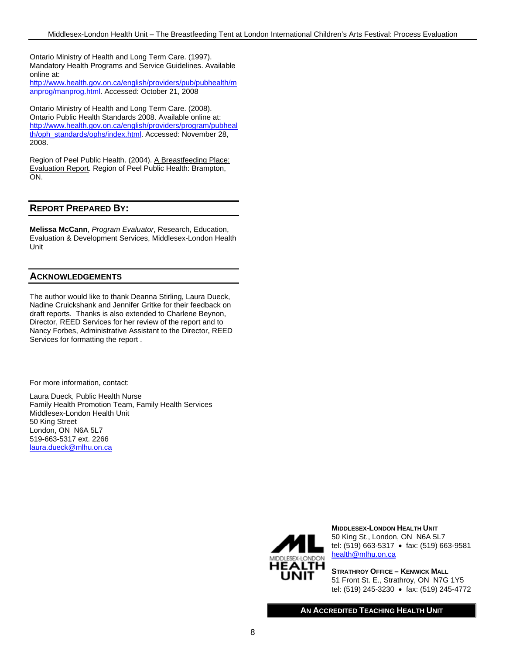Ontario Ministry of Health and Long Term Care. (1997). Mandatory Health Programs and Service Guidelines. Available online at:

http://www.health.gov.on.ca/english/providers/pub/pubhealth/m anprog/manprog.html. Accessed: October 21, 2008

Ontario Ministry of Health and Long Term Care. (2008). Ontario Public Health Standards 2008. Available online at: http://www.health.gov.on.ca/english/providers/program/pubheal th/oph\_standards/ophs/index.html. Accessed: November 28, 2008.

Region of Peel Public Health. (2004). A Breastfeeding Place: Evaluation Report. Region of Peel Public Health: Brampton, ON.

# **REPORT PREPARED BY:**

**Melissa McCann**, *Program Evaluator*, Research, Education, Evaluation & Development Services, Middlesex-London Health Unit

## **ACKNOWLEDGEMENTS**

The author would like to thank Deanna Stirling, Laura Dueck, Nadine Cruickshank and Jennifer Gritke for their feedback on draft reports. Thanks is also extended to Charlene Beynon, Director, REED Services for her review of the report and to Nancy Forbes, Administrative Assistant to the Director, REED Services for formatting the report .

For more information, contact:

Laura Dueck, Public Health Nurse Family Health Promotion Team, Family Health Services Middlesex-London Health Unit 50 King Street London, ON N6A 5L7 519-663-5317 ext. 2266 laura.dueck@mlhu.on.ca



**MIDDLESEX-LONDON HEALTH UNIT** 50 King St., London, ON N6A 5L7 tel: (519) 663-5317 • fax: (519) 663-9581 health@mlhu.on.ca

**STRATHROY OFFICE – KENWICK MALL** 51 Front St. E., Strathroy, ON N7G 1Y5 tel: (519) 245-3230 • fax: (519) 245-4772

**AN ACCREDITED TEACHING HEALTH UNIT**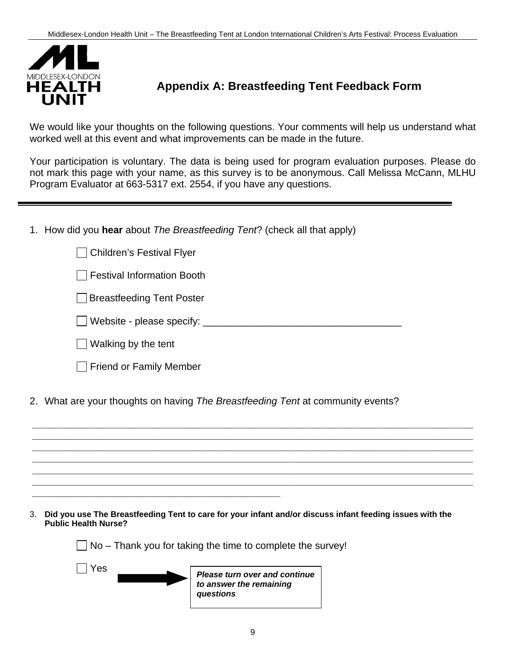

# **Appendix A: Breastfeeding Tent Feedback Form**

We would like your thoughts on the following questions. Your comments will help us understand what worked well at this event and what improvements can be made in the future.

Your participation is voluntary. The data is being used for program evaluation purposes. Please do not mark this page with your name, as this survey is to be anonymous. Call Melissa McCann, MLHU Program Evaluator at 663-5317 ext. 2554, if you have any questions.

1. How did you **hear** about *The Breastfeeding Tent*? (check all that apply)

| <b>Children's Festival Flyer</b>                                                |  |
|---------------------------------------------------------------------------------|--|
| <b>Festival Information Booth</b>                                               |  |
| <b>Breastfeeding Tent Poster</b>                                                |  |
| Website - please specify: _____                                                 |  |
| Walking by the tent                                                             |  |
| <b>Friend or Family Member</b>                                                  |  |
| 2. What are your thoughts on having The Breastfeeding Tent at community events? |  |
|                                                                                 |  |
|                                                                                 |  |
|                                                                                 |  |
|                                                                                 |  |

3. **Did you use The Breastfeeding Tent to care for your infant and/or discuss infant feeding issues with the Public Health Nurse?**

 $\Box$  No – Thank you for taking the time to complete the survey!

**\_\_\_\_\_\_\_\_\_\_\_\_\_\_\_\_\_\_\_\_\_\_\_\_\_\_\_\_\_\_\_\_\_\_\_\_\_\_\_\_\_\_\_\_\_**

 Yes *Please turn over and continue to answer the remaining questions*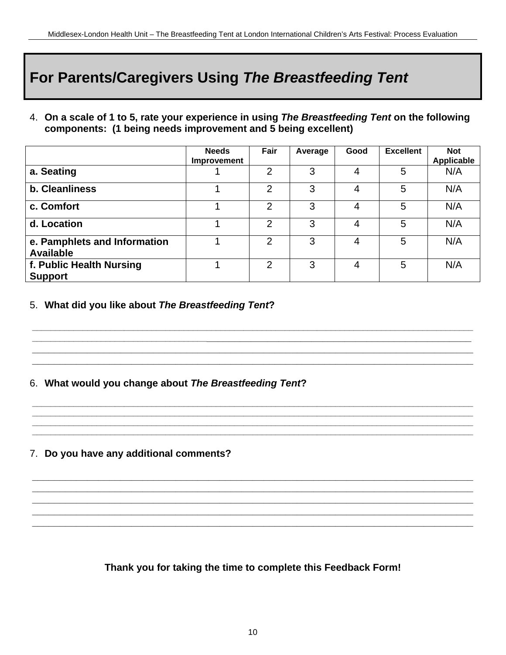# **For Parents/Caregivers Using** *The Breastfeeding Tent*

4. **On a scale of 1 to 5, rate your experience in using** *The Breastfeeding Tent* **on the following components: (1 being needs improvement and 5 being excellent)**

|                                                  | <b>Needs</b><br>Improvement | Fair           | Average | Good | <b>Excellent</b> | <b>Not</b><br><b>Applicable</b> |
|--------------------------------------------------|-----------------------------|----------------|---------|------|------------------|---------------------------------|
| a. Seating                                       |                             | 2              | 3       | 4    | 5                | N/A                             |
| b. Cleanliness                                   |                             | $\overline{2}$ | 3       | 4    | 5                | N/A                             |
| c. Comfort                                       |                             | 2              | 3       | 4    | 5                | N/A                             |
| d. Location                                      |                             | $\overline{2}$ | 3       | 4    | 5                | N/A                             |
| e. Pamphlets and Information<br><b>Available</b> |                             | 2              | 3       | 4    | 5                | N/A                             |
| f. Public Health Nursing<br><b>Support</b>       |                             | $\overline{2}$ | 3       | 4    | 5                | N/A                             |

**\_\_\_\_\_\_\_\_\_\_\_\_\_\_\_\_\_\_\_\_\_\_\_\_\_\_\_\_\_\_\_\_\_\_\_\_\_\_\_\_\_\_\_\_\_\_\_\_\_\_\_\_\_\_\_\_\_\_\_\_\_\_\_\_\_\_\_\_\_\_\_\_\_\_\_\_\_\_\_\_\_\_\_\_\_\_\_\_\_\_\_\_\_\_\_\_ \_\_\_\_\_\_\_\_\_\_\_\_\_\_\_\_\_\_\_\_\_\_\_\_\_\_\_\_\_\_\_\_\_\_\_\_\_\_\_\_\_\_\_\_\_\_\_\_\_\_\_\_\_\_\_\_\_\_\_\_\_\_\_\_\_\_\_\_\_\_\_\_\_\_\_\_\_\_\_\_\_\_\_\_\_\_ \_\_\_\_\_\_\_\_\_\_\_\_\_\_\_\_\_\_\_\_\_\_\_\_\_\_\_\_\_\_\_\_\_\_\_\_\_\_\_\_\_\_\_\_\_\_\_\_\_\_\_\_\_\_\_\_\_\_\_\_\_\_\_\_\_\_\_\_\_\_\_\_\_\_\_\_\_\_\_\_ \_\_\_\_\_\_\_\_\_\_\_\_\_\_\_\_\_\_\_\_\_\_\_\_\_\_\_\_\_\_\_\_\_\_\_\_\_\_\_\_\_\_\_\_\_\_\_\_\_\_\_\_\_\_\_\_\_\_\_\_\_\_\_\_\_\_\_\_\_\_\_\_\_\_\_\_\_\_\_\_**

**\_\_\_\_\_\_\_\_\_\_\_\_\_\_\_\_\_\_\_\_\_\_\_\_\_\_\_\_\_\_\_\_\_\_\_\_\_\_\_\_\_\_\_\_\_\_\_\_\_\_\_\_\_\_\_\_\_\_\_\_\_\_\_\_\_\_\_\_\_\_\_\_\_\_\_\_\_\_\_\_\_\_\_\_\_\_\_\_\_\_\_\_\_\_\_\_ \_\_\_\_\_\_\_\_\_\_\_\_\_\_\_\_\_\_\_\_\_\_\_\_\_\_\_\_\_\_\_\_\_\_\_\_\_\_\_\_\_\_\_\_\_\_\_\_\_\_\_\_\_\_\_\_\_\_\_\_\_\_\_\_\_\_\_\_\_\_\_\_\_\_\_\_\_\_\_\_\_\_\_\_\_\_\_\_\_\_\_\_\_\_\_\_ \_\_\_\_\_\_\_\_\_\_\_\_\_\_\_\_\_\_\_\_\_\_\_\_\_\_\_\_\_\_\_\_\_\_\_\_\_\_\_\_\_\_\_\_\_\_\_\_\_\_\_\_\_\_\_\_\_\_\_\_\_\_\_\_\_\_\_\_\_\_\_\_\_\_\_\_\_\_\_\_\_\_\_\_\_\_\_\_\_\_\_\_\_\_\_\_ \_\_\_\_\_\_\_\_\_\_\_\_\_\_\_\_\_\_\_\_\_\_\_\_\_\_\_\_\_\_\_\_\_\_\_\_\_\_\_\_\_\_\_\_\_\_\_\_\_\_\_\_\_\_\_\_\_\_\_\_\_\_\_\_\_\_\_\_\_\_\_\_\_\_\_\_\_\_\_\_\_\_\_\_\_\_\_\_\_\_\_\_\_\_\_\_**

**\_\_\_\_\_\_\_\_\_\_\_\_\_\_\_\_\_\_\_\_\_\_\_\_\_\_\_\_\_\_\_\_\_\_\_\_\_\_\_\_\_\_\_\_\_\_\_\_\_\_\_\_\_\_\_\_\_\_\_\_\_\_\_\_\_\_\_\_\_\_\_\_\_\_\_\_\_\_\_\_ \_\_\_\_\_\_\_\_\_\_\_\_\_\_\_\_\_\_\_\_\_\_\_\_\_\_\_\_\_\_\_\_\_\_\_\_\_\_\_\_\_\_\_\_\_\_\_\_\_\_\_\_\_\_\_\_\_\_\_\_\_\_\_\_\_\_\_\_\_\_\_\_\_\_\_\_\_\_\_\_ \_\_\_\_\_\_\_\_\_\_\_\_\_\_\_\_\_\_\_\_\_\_\_\_\_\_\_\_\_\_\_\_\_\_\_\_\_\_\_\_\_\_\_\_\_\_\_\_\_\_\_\_\_\_\_\_\_\_\_\_\_\_\_\_\_\_\_\_\_\_\_\_\_\_\_\_\_\_\_\_ \_\_\_\_\_\_\_\_\_\_\_\_\_\_\_\_\_\_\_\_\_\_\_\_\_\_\_\_\_\_\_\_\_\_\_\_\_\_\_\_\_\_\_\_\_\_\_\_\_\_\_\_\_\_\_\_\_\_\_\_\_\_\_\_\_\_\_\_\_\_\_\_\_\_\_\_\_\_\_\_ \_\_\_\_\_\_\_\_\_\_\_\_\_\_\_\_\_\_\_\_\_\_\_\_\_\_\_\_\_\_\_\_\_\_\_\_\_\_\_\_\_\_\_\_\_\_\_\_\_\_\_\_\_\_\_\_\_\_\_\_\_\_\_\_\_\_\_\_\_\_\_\_\_\_\_\_\_\_\_\_**

5. **What did you like about** *The Breastfeeding Tent***?**

6. **What would you change about** *The Breastfeeding Tent***?**

# 7. **Do you have any additional comments?**

**Thank you for taking the time to complete this Feedback Form!**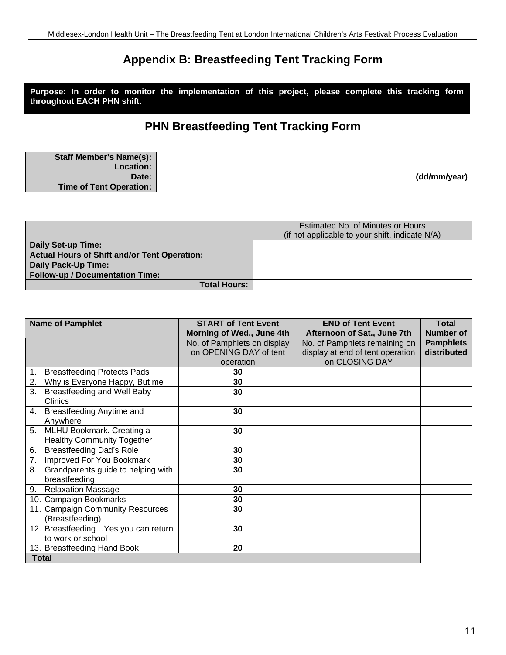# **Appendix B: Breastfeeding Tent Tracking Form**

**Purpose: In order to monitor the implementation of this project, please complete this tracking form throughout EACH PHN shift.**

# **PHN Breastfeeding Tent Tracking Form**

| <b>Staff Member's Name(s):</b> |              |
|--------------------------------|--------------|
| <b>Location:</b>               |              |
| Date:                          | (dd/mm/year) |
| <b>Time of Tent Operation:</b> |              |

|                                                     | Estimated No. of Minutes or Hours<br>(if not applicable to your shift, indicate N/A) |
|-----------------------------------------------------|--------------------------------------------------------------------------------------|
| Daily Set-up Time:                                  |                                                                                      |
| <b>Actual Hours of Shift and/or Tent Operation:</b> |                                                                                      |
| <b>Daily Pack-Up Time:</b>                          |                                                                                      |
| <b>Follow-up / Documentation Time:</b>              |                                                                                      |
| <b>Total Hours:</b>                                 |                                                                                      |

| <b>Name of Pamphlet</b>                     | <b>START of Tent Event</b>  | <b>END of Tent Event</b>         | <b>Total</b>     |  |
|---------------------------------------------|-----------------------------|----------------------------------|------------------|--|
|                                             | Morning of Wed., June 4th   | Afternoon of Sat., June 7th      | <b>Number of</b> |  |
|                                             | No. of Pamphlets on display | No. of Pamphlets remaining on    | <b>Pamphlets</b> |  |
|                                             | on OPENING DAY of tent      | display at end of tent operation | distributed      |  |
|                                             | operation                   | on CLOSING DAY                   |                  |  |
| <b>Breastfeeding Protects Pads</b><br>1.    | 30                          |                                  |                  |  |
| 2.<br>Why is Everyone Happy, But me         | 30                          |                                  |                  |  |
| 3.<br>Breastfeeding and Well Baby           | 30                          |                                  |                  |  |
| <b>Clinics</b>                              |                             |                                  |                  |  |
| Breastfeeding Anytime and<br>4.             | 30                          |                                  |                  |  |
| Anywhere                                    |                             |                                  |                  |  |
| MLHU Bookmark. Creating a<br>5 <sub>1</sub> | 30                          |                                  |                  |  |
| <b>Healthy Community Together</b>           |                             |                                  |                  |  |
| <b>Breastfeeding Dad's Role</b><br>6.       | 30                          |                                  |                  |  |
| Improved For You Bookmark<br>7.             | 30                          |                                  |                  |  |
| 8.<br>Grandparents guide to helping with    | 30                          |                                  |                  |  |
| breastfeeding                               |                             |                                  |                  |  |
| 9. Relaxation Massage                       | 30                          |                                  |                  |  |
| 10. Campaign Bookmarks                      | 30                          |                                  |                  |  |
| 11. Campaign Community Resources            | 30                          |                                  |                  |  |
| (Breastfeeding)                             |                             |                                  |                  |  |
| 12. Breastfeeding Yes you can return        | 30                          |                                  |                  |  |
| to work or school                           |                             |                                  |                  |  |
| 13. Breastfeeding Hand Book                 | 20                          |                                  |                  |  |
| <b>Total</b>                                |                             |                                  |                  |  |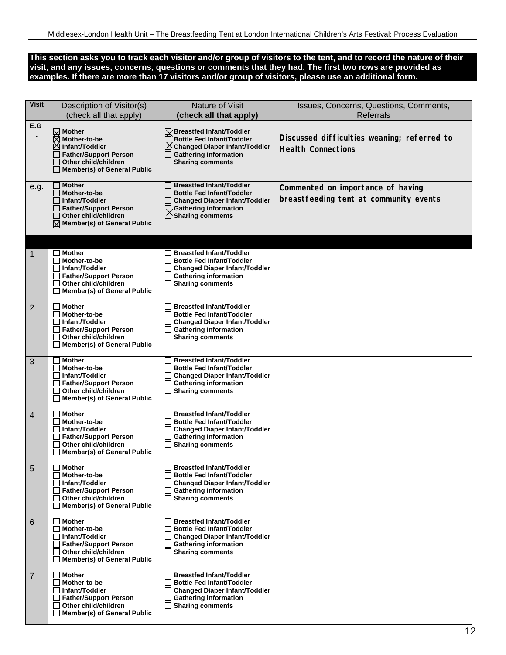#### **This section asks you to track each visitor and/or group of visitors to the tent, and to record the nature of their visit, and any issues, concerns, questions or comments that they had. The first two rows are provided as examples. If there are more than 17 visitors and/or group of visitors, please use an additional form.**

| <b>Visit</b>   | Description of Visitor(s)<br>(check all that apply)                                                                                                         | Nature of Visit<br>(check all that apply)                                                                                                                                        | Issues, Concerns, Questions, Comments,<br><b>Referrals</b>                  |
|----------------|-------------------------------------------------------------------------------------------------------------------------------------------------------------|----------------------------------------------------------------------------------------------------------------------------------------------------------------------------------|-----------------------------------------------------------------------------|
| E.G            | $\boxtimes$ Mother<br>Mother-to-be<br>Infant/Toddler<br><b>Father/Support Person</b><br>Other child/children<br>$\Box$ Member(s) of General Public          | $\sqrt{}$ Breastfed Infant/Toddler<br><b>Bottle Fed Infant/Toddler</b><br>Changed Diaper Infant/Toddler<br><b>Gathering information</b><br>$\Box$ Sharing comments               | Discussed difficulties weaning; referred to<br><b>Health Connections</b>    |
| e.g.           | <b>Mother</b><br>Mother-to-be<br><b>□ Infant/Toddler</b><br><b>Father/Support Person</b><br>Other child/children<br>$\boxtimes$ Member(s) of General Public | <b>Breastfed Infant/Toddler</b><br><b>Bottle Fed Infant/Toddler</b><br><b>Changed Diaper Infant/Toddler</b><br>Gathering information<br>◯ Sharing comments                       | Commented on importance of having<br>breastfeeding tent at community events |
| $\mathbf 1$    | <b>Mother</b><br>Mother-to-be<br>Infant/Toddler<br><b>Father/Support Person</b><br>Other child/children<br>$\Box$ Member(s) of General Public               | <b>Breastfed Infant/Toddler</b><br><b>Bottle Fed Infant/Toddler</b><br><b>Changed Diaper Infant/Toddler</b><br><b>Gathering information</b><br>$\Box$ Sharing comments           |                                                                             |
| $\overline{2}$ | <b>Mother</b><br>$\Box$ Mother-to-be<br>Infant/Toddler<br><b>Father/Support Person</b><br>Other child/children<br>Member(s) of General Public               | <b>Breastfed Infant/Toddler</b><br><b>Bottle Fed Infant/Toddler</b><br><b>Changed Diaper Infant/Toddler</b><br><b>Gathering information</b><br><b>Sharing comments</b><br>ப      |                                                                             |
| 3              | <b>Mother</b><br>Mother-to-be<br>Infant/Toddler<br><b>Father/Support Person</b><br>Other child/children<br>□ Member(s) of General Public                    | <b>Breastfed Infant/Toddler</b><br><b>Bottle Fed Infant/Toddler</b><br><b>Changed Diaper Infant/Toddler</b><br><b>Gathering information</b><br>П<br>$\Box$ Sharing comments      |                                                                             |
| $\overline{4}$ | <b>Mother</b><br>Mother-to-be<br>Infant/Toddler<br><b>Father/Support Person</b><br>Other child/children<br>Member(s) of General Public                      | <b>Breastfed Infant/Toddler</b><br><b>Bottle Fed Infant/Toddler</b><br><b>Changed Diaper Infant/Toddler</b><br><b>Gathering information</b><br><b>Sharing comments</b><br>$\Box$ |                                                                             |
| $\overline{5}$ | Mother<br>$\Box$ Mother-to-be<br><b>□ Infant/Toddler</b><br>□ Father/Support Person<br>Other child/children<br>⊔<br>Member(s) of General Public             | <b>Breastfed Infant/Toddler</b><br><b>Bottle Fed Infant/Toddler</b><br><b>Changed Diaper Infant/Toddler</b><br><b>Gathering information</b><br>$\Box$ Sharing comments           |                                                                             |
| 6              | <b>Mother</b><br>П<br>Mother-to-be<br>Infant/Toddler<br>□ Father/Support Person<br>Other child/children<br>$\Box$ Member(s) of General Public               | <b>Breastfed Infant/Toddler</b><br><b>Bottle Fed Infant/Toddler</b><br><b>Changed Diaper Infant/Toddler</b><br>L<br><b>Gathering information</b><br>$\Box$ Sharing comments      |                                                                             |
| 7              | <b>Mother</b><br>Mother-to-be<br>Infant/Toddler<br><b>Father/Support Person</b><br>Other child/children<br>$\Box$ Member(s) of General Public               | <b>Breastfed Infant/Toddler</b><br><b>Bottle Fed Infant/Toddler</b><br><b>Changed Diaper Infant/Toddler</b><br><b>Gathering information</b><br>$\Box$ Sharing comments           |                                                                             |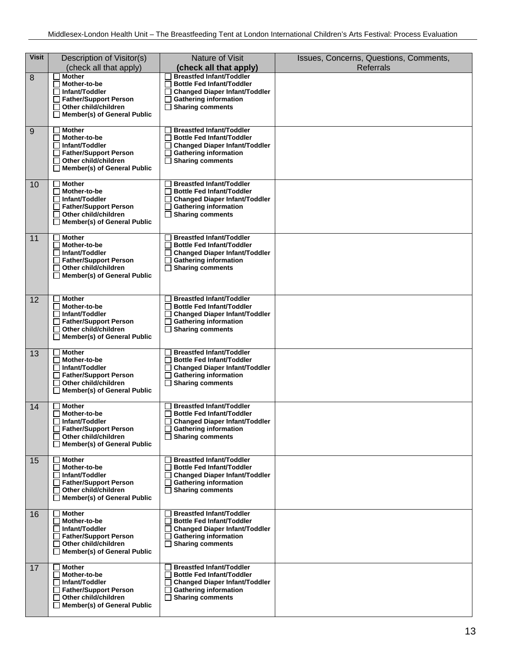| <b>Visit</b> | Description of Visitor(s)<br>(check all that apply)                                                                                                                    | Nature of Visit<br>(check all that apply)                                                                                                                                              | Issues, Concerns, Questions, Comments,<br><b>Referrals</b> |
|--------------|------------------------------------------------------------------------------------------------------------------------------------------------------------------------|----------------------------------------------------------------------------------------------------------------------------------------------------------------------------------------|------------------------------------------------------------|
| 8            | <b>Mother</b><br>Mother-to-be<br>$\Box$ Infant/Toddler<br>Father/Support Person<br>$\Box$ Other child/children<br>$\Box$ Member(s) of General Public                   | <b>Breastfed Infant/Toddler</b><br><b>Bottle Fed Infant/Toddler</b><br><b>Changed Diaper Infant/Toddler</b><br><b>Gathering information</b><br><b>Sharing comments</b><br>П            |                                                            |
| 9            | <b>Mother</b><br>Mother-to-be<br><b>□ Infant/Toddler</b><br>□ Father/Support Person<br>Other child/children<br>П<br>$\Box$ Member(s) of General Public                 | <b>Breastfed Infant/Toddler</b><br><b>Bottle Fed Infant/Toddler</b><br><b>Changed Diaper Infant/Toddler</b><br><b>Gathering information</b><br>$\Box$ Sharing comments                 |                                                            |
| 10           | <b>Mother</b><br>Mother-to-be<br><b>□ Infant/Toddler</b><br><b>Father/Support Person</b><br>Other child/children<br>Member(s) of General Public                        | <b>Breastfed Infant/Toddler</b><br><b>Bottle Fed Infant/Toddler</b><br><b>Changed Diaper Infant/Toddler</b><br><b>Gathering information</b><br><b>Sharing comments</b>                 |                                                            |
| 11           | <b>Mother</b><br>$\sim$<br>Mother-to-be<br>П<br><b>□ Infant/Toddler</b><br>□ Father/Support Person<br>Other child/children<br>$\Box$ Member(s) of General Public       | <b>Breastfed Infant/Toddler</b><br><b>Bottle Fed Infant/Toddler</b><br><b>Changed Diaper Infant/Toddler</b><br><b>Gathering information</b><br><b>Sharing comments</b>                 |                                                            |
| 12           | <b>Mother</b><br>Mother-to-be<br>ΙI<br>□ Infant/Toddler<br>□ Father/Support Person<br>Other child/children<br>П<br>Member(s) of General Public<br>ப                    | <b>Breastfed Infant/Toddler</b><br><b>Bottle Fed Infant/Toddler</b><br><b>Changed Diaper Infant/Toddler</b><br><b>Gathering information</b><br>П<br>$\Box$ Sharing comments            |                                                            |
| 13           | <b>Mother</b><br>Mother-to-be<br><b>□ Infant/Toddler</b><br><b>Father/Support Person</b><br>Other child/children<br>Member(s) of General Public                        | <b>Breastfed Infant/Toddler</b><br>□ Bottle Fed Infant/Toddler<br><b>Changed Diaper Infant/Toddler</b><br><b>Gathering information</b><br><b>Sharing comments</b>                      |                                                            |
| 14           | <b>Mother</b><br>∐ Mother-to-be<br>□ Infant/Toddler<br>Father/Support Person<br>$\Box$ Other child/children<br>$\Box$ Member(s) of General Public                      | <b>Breastfed Infant/Toddler</b><br><b>Bottle Fed Infant/Toddler</b><br>Changed Diaper Infant/Toddler<br>$\Box$ Gathering information<br>$\Box$ Sharing comments                        |                                                            |
| 15           | Mother<br>Mother-to-be<br><b>□ Infant/Toddler</b><br>Father/Support Person<br>$\Box$ Other child/children<br>$\Box$ Member(s) of General Public                        | <b>Breastfed Infant/Toddler</b><br><b>Bottle Fed Infant/Toddler</b><br><b>Changed Diaper Infant/Toddler</b><br><b>Gathering information</b><br><b>Sharing comments</b><br>П            |                                                            |
| 16           | <b>Mother</b><br>Mother-to-be<br><b>□ Infant/Toddler</b><br>□ Father/Support Person<br>$\Box$ Other child/children<br>$\Box$ Member(s) of General Public               | <b>Breastfed Infant/Toddler</b><br><b>Bottle Fed Infant/Toddler</b><br>□ Changed Diaper Infant/Toddler<br><b>Gathering information</b><br>ப<br><b>Sharing comments</b><br>$\mathsf{L}$ |                                                            |
| 17           | <b>Mother</b><br>Mother-to-be<br>$\mathsf{L}$<br><b>□ Infant/Toddler</b><br>Father/Support Person<br>$\Box$ Other child/children<br>$\Box$ Member(s) of General Public | <b>Breastfed Infant/Toddler</b><br><b>Bottle Fed Infant/Toddler</b><br><b>Changed Diaper Infant/Toddler</b><br><b>Gathering information</b><br>$\Box$ Sharing comments                 |                                                            |